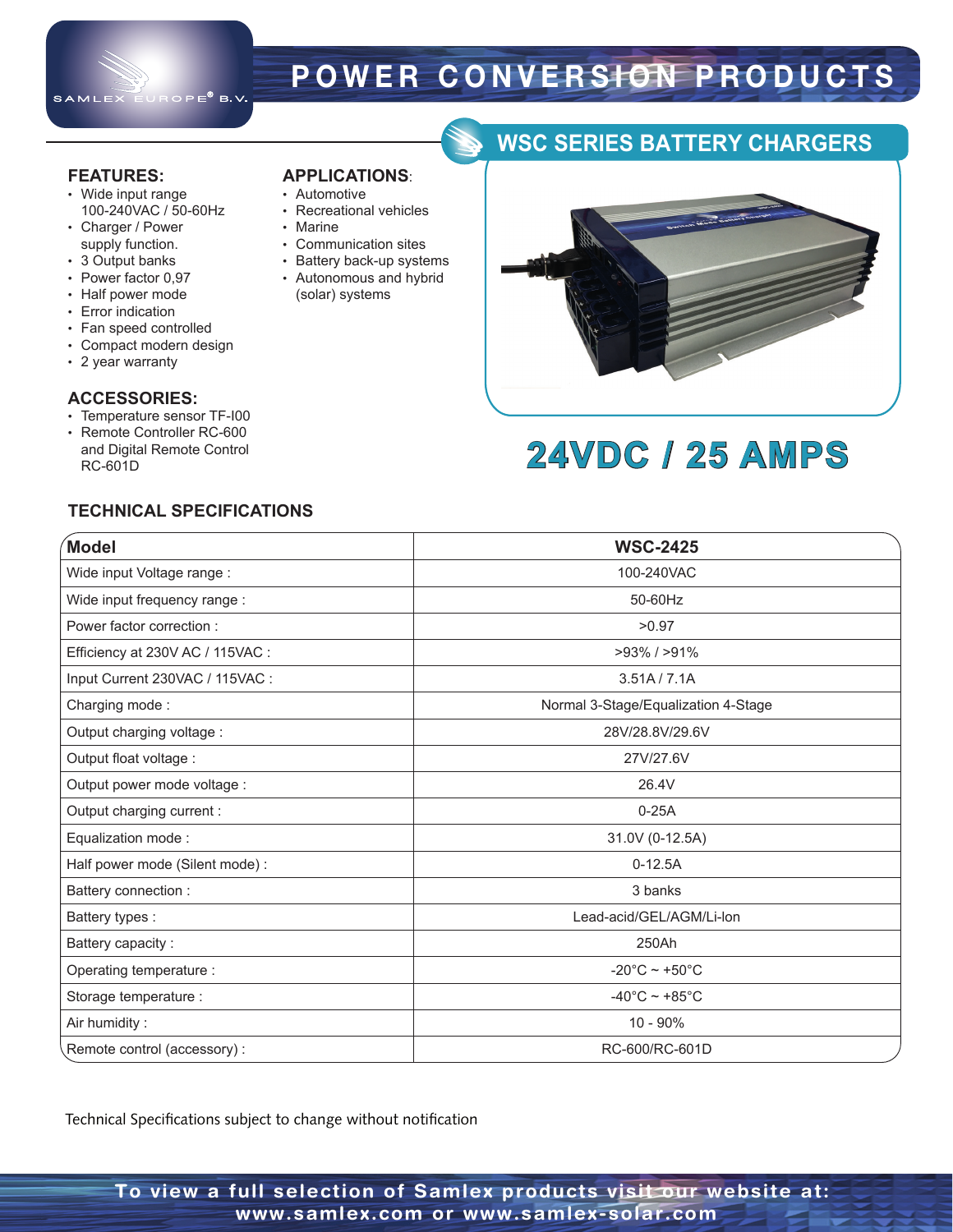

# **POWER CONVERSION PRODUCTS**

#### **FEATURES:**

• Wide input range 100-240VAC / 50-60Hz

**APPLICATIONS**: • Automotive

• Marine

• Recreational vehicles

• Communication sites • Battery back-up systems • Autonomous and hybrid (solar) systems

- Charger / Power supply function.
- 3 Output banks
- Power factor 0,97
- Half power mode
- Error indication
- Fan speed controlled
- Compact modern design
- 2 year warranty

#### **ACCESSORIES:**

- Temperature sensor TF-I00
- Remote Controller RC-600 and Digital Remote Control RC-601D

#### **TECHNICAL SPECIFICATIONS**

| Model                            | <b>WSC-2425</b>                     |
|----------------------------------|-------------------------------------|
| Wide input Voltage range :       | 100-240VAC                          |
| Wide input frequency range :     | 50-60Hz                             |
| Power factor correction:         | >0.97                               |
| Efficiency at 230V AC / 115VAC : | $>93\%$ / $>91\%$                   |
| Input Current 230VAC / 115VAC :  | 3.51A / 7.1A                        |
| Charging mode:                   | Normal 3-Stage/Equalization 4-Stage |
| Output charging voltage :        | 28V/28.8V/29.6V                     |
| Output float voltage :           | 27V/27.6V                           |
| Output power mode voltage :      | 26.4V                               |
| Output charging current :        | $0-25A$                             |
| Equalization mode:               | 31.0V (0-12.5A)                     |
| Half power mode (Silent mode):   | $0-12.5A$                           |
| Battery connection :             | 3 banks                             |
| Battery types :                  | Lead-acid/GEL/AGM/Li-lon            |
| Battery capacity:                | 250Ah                               |
| Operating temperature :          | -20 $^{\circ}$ C ~ +50 $^{\circ}$ C |
| Storage temperature :            | $-40^{\circ}$ C ~ +85 $^{\circ}$ C  |
| Air humidity:                    | $10 - 90%$                          |
| Remote control (accessory) :     | RC-600/RC-601D                      |

Technical Specifications subject to change without notification

### **WSC SERIES BATTERY CHARGERS**



# **24VDC / 25 AMPS**